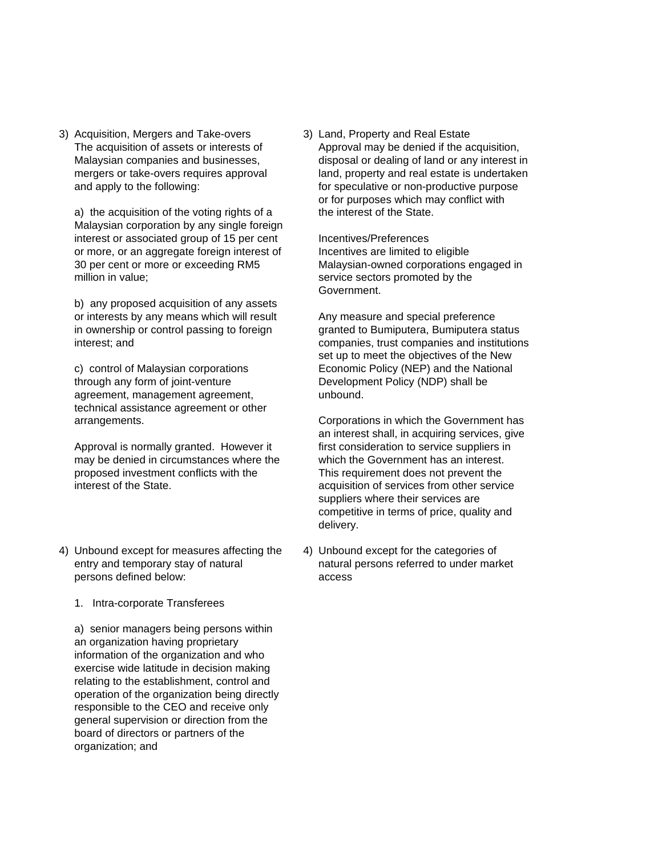3) Acquisition, Mergers and Take-overs 3) Land, Property and Real Estate

a) the acquisition of the voting rights of a the interest of the State. Malaysian corporation by any single foreign interest or associated group of 15 per cent Incentives/Preferences or more, or an aggregate foreign interest of Incentives are limited to eligible 30 per cent or more or exceeding RM5 Malaysian-owned corporations engaged in million in value; service sectors promoted by the

b) any proposed acquisition of any assets or interests by any means which will result Any measure and special preference in ownership or control passing to foreign granted to Bumiputera, Bumiputera status

through any form of joint-venture Development Policy (NDP) shall be agreement, management agreement, example unbound. technical assistance agreement or other

may be denied in circumstances where the which the Government has an interest. proposed investment conflicts with the This requirement does not prevent the interest of the State. acquisition of services from other service

- 4) Unbound except for measures affecting the 4) Unbound except for the categories of persons defined below: access
	- 1. Intra-corporate Transferees

a) senior managers being persons within an organization having proprietary information of the organization and who exercise wide latitude in decision making relating to the establishment, control and operation of the organization being directly responsible to the CEO and receive only general supervision or direction from the board of directors or partners of the organization; and

The acquisition of assets or interests of Approval may be denied if the acquisition, Malaysian companies and businesses, disposal or dealing of land or any interest in mergers or take-overs requires approval land, property and real estate is undertaken and apply to the following: for speculative or non-productive purpose or for purposes which may conflict with

Government.

interest; and **companies, trust companies and institutions** set up to meet the objectives of the New c) control of Malaysian corporations Economic Policy (NEP) and the National

arrangements. Corporations in which the Government has an interest shall, in acquiring services, give Approval is normally granted. However it first consideration to service suppliers in suppliers where their services are competitive in terms of price, quality and delivery.

entry and temporary stay of natural natural persons referred to under market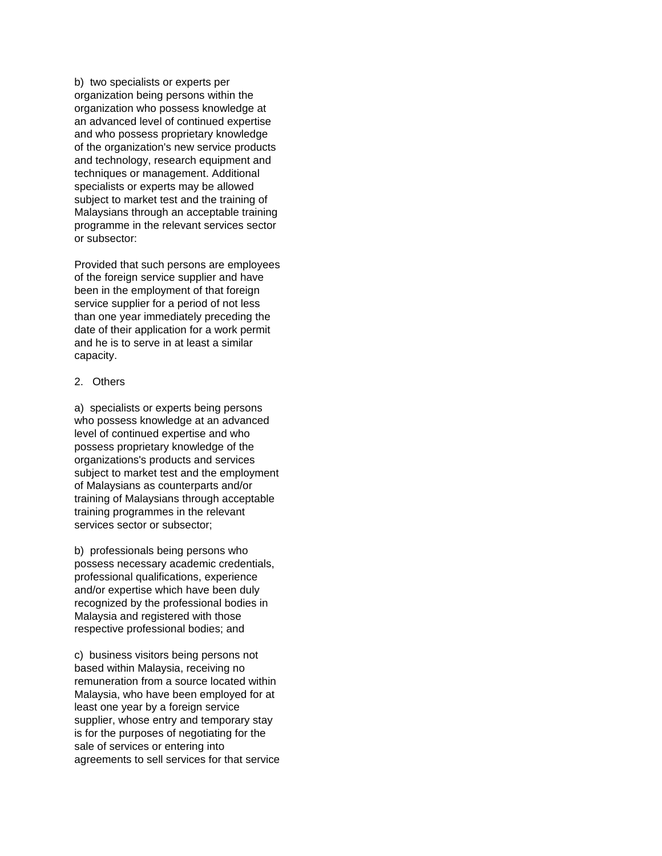b) two specialists or experts per organization being persons within the organization who possess knowledge at an advanced level of continued expertise and who possess proprietary knowledge of the organization's new service products and technology, research equipment and techniques or management. Additional specialists or experts may be allowed subject to market test and the training of Malaysians through an acceptable training programme in the relevant services sector or subsector:

Provided that such persons are employees of the foreign service supplier and have been in the employment of that foreign service supplier for a period of not less than one year immediately preceding the date of their application for a work permit and he is to serve in at least a similar capacity.

## 2. Others

a) specialists or experts being persons who possess knowledge at an advanced level of continued expertise and who possess proprietary knowledge of the organizations's products and services subject to market test and the employment of Malaysians as counterparts and/or training of Malaysians through acceptable training programmes in the relevant services sector or subsector;

b) professionals being persons who possess necessary academic credentials, professional qualifications, experience and/or expertise which have been duly recognized by the professional bodies in Malaysia and registered with those respective professional bodies; and

c) business visitors being persons not based within Malaysia, receiving no remuneration from a source located within Malaysia, who have been employed for at least one year by a foreign service supplier, whose entry and temporary stay is for the purposes of negotiating for the sale of services or entering into agreements to sell services for that service